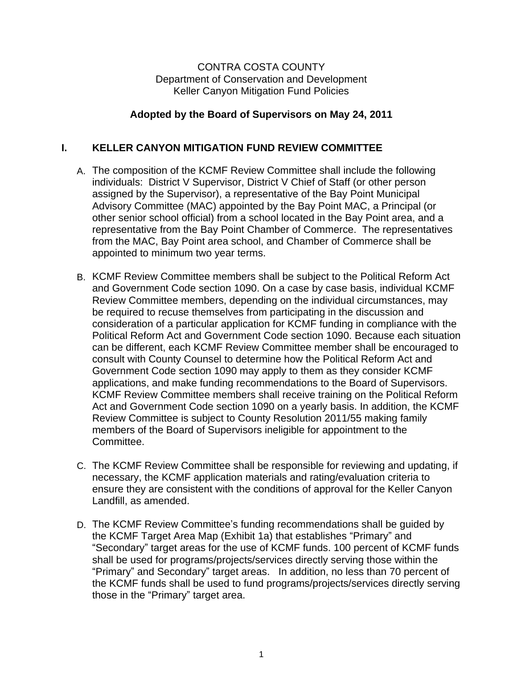### CONTRA COSTA COUNTY Department of Conservation and Development Keller Canyon Mitigation Fund Policies

# **Adopted by the Board of Supervisors on May 24, 2011**

# **I. KELLER CANYON MITIGATION FUND REVIEW COMMITTEE**

- A. The composition of the KCMF Review Committee shall include the following individuals: District V Supervisor, District V Chief of Staff (or other person assigned by the Supervisor), a representative of the Bay Point Municipal Advisory Committee (MAC) appointed by the Bay Point MAC, a Principal (or other senior school official) from a school located in the Bay Point area, and a representative from the Bay Point Chamber of Commerce. The representatives from the MAC, Bay Point area school, and Chamber of Commerce shall be appointed to minimum two year terms.
- B. KCMF Review Committee members shall be subject to the Political Reform Act and Government Code section 1090. On a case by case basis, individual KCMF Review Committee members, depending on the individual circumstances, may be required to recuse themselves from participating in the discussion and consideration of a particular application for KCMF funding in compliance with the Political Reform Act and Government Code section 1090. Because each situation can be different, each KCMF Review Committee member shall be encouraged to consult with County Counsel to determine how the Political Reform Act and Government Code section 1090 may apply to them as they consider KCMF applications, and make funding recommendations to the Board of Supervisors. KCMF Review Committee members shall receive training on the Political Reform Act and Government Code section 1090 on a yearly basis. In addition, the KCMF Review Committee is subject to County Resolution 2011/55 making family members of the Board of Supervisors ineligible for appointment to the Committee.
- C. The KCMF Review Committee shall be responsible for reviewing and updating, if necessary, the KCMF application materials and rating/evaluation criteria to ensure they are consistent with the conditions of approval for the Keller Canyon Landfill, as amended.
- D. The KCMF Review Committee's funding recommendations shall be guided by the KCMF Target Area Map (Exhibit 1a) that establishes "Primary" and "Secondary" target areas for the use of KCMF funds. 100 percent of KCMF funds shall be used for programs/projects/services directly serving those within the "Primary" and Secondary" target areas. In addition, no less than 70 percent of the KCMF funds shall be used to fund programs/projects/services directly serving those in the "Primary" target area.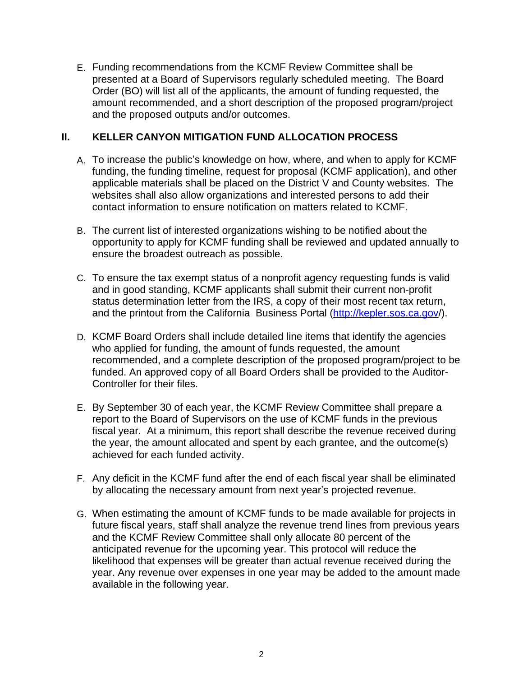E. Funding recommendations from the KCMF Review Committee shall be presented at a Board of Supervisors regularly scheduled meeting. The Board Order (BO) will list all of the applicants, the amount of funding requested, the amount recommended, and a short description of the proposed program/project and the proposed outputs and/or outcomes.

# **II. KELLER CANYON MITIGATION FUND ALLOCATION PROCESS**

- A. To increase the public's knowledge on how, where, and when to apply for KCMF funding, the funding timeline, request for proposal (KCMF application), and other applicable materials shall be placed on the District V and County websites. The websites shall also allow organizations and interested persons to add their contact information to ensure notification on matters related to KCMF.
- B. The current list of interested organizations wishing to be notified about the opportunity to apply for KCMF funding shall be reviewed and updated annually to ensure the broadest outreach as possible.
- C. To ensure the tax exempt status of a nonprofit agency requesting funds is valid and in good standing, KCMF applicants shall submit their current non-profit status determination letter from the IRS, a copy of their most recent tax return, and the printout from the California Business Portal [\(http://kepler.sos.ca.gov/](http://kepler.sos.ca.gov)).
- D. KCMF Board Orders shall include detailed line items that identify the agencies who applied for funding, the amount of funds requested, the amount recommended, and a complete description of the proposed program/project to be funded. An approved copy of all Board Orders shall be provided to the Auditor-Controller for their files.
- E. By September 30 of each year, the KCMF Review Committee shall prepare a report to the Board of Supervisors on the use of KCMF funds in the previous fiscal year. At a minimum, this report shall describe the revenue received during the year, the amount allocated and spent by each grantee, and the outcome(s) achieved for each funded activity.
- F. Any deficit in the KCMF fund after the end of each fiscal year shall be eliminated by allocating the necessary amount from next year's projected revenue.
- G. When estimating the amount of KCMF funds to be made available for projects in future fiscal years, staff shall analyze the revenue trend lines from previous years and the KCMF Review Committee shall only allocate 80 percent of the anticipated revenue for the upcoming year. This protocol will reduce the likelihood that expenses will be greater than actual revenue received during the year. Any revenue over expenses in one year may be added to the amount made available in the following year.